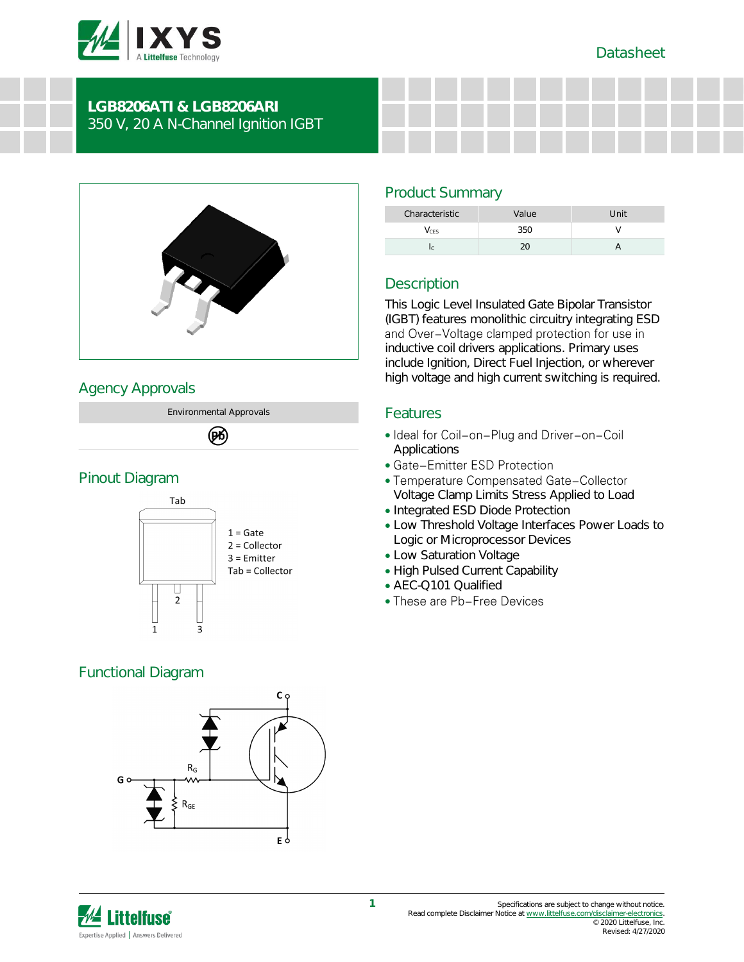### Datasheet



# **LGB8206ATI & LGB8206ARI** 350 V, 20 A N-Channel Ignition IGBT



### Agency Approvals

Environmental Approvals

(PK)

## Pinout Diagram



### Functional Diagram



# Product Summary

| Characteristic | Value | Unit |
|----------------|-------|------|
| CES            |       |      |
|                |       |      |

## **Description**

This Logic Level Insulated Gate Bipolar Transistor (IGBT) features monolithic circuitry integrating ESD and Over-Voltage clamped protection for use in inductive coil drivers applications. Primary uses include Ignition, Direct Fuel Injection, or wherever high voltage and high current switching is required.

#### Features

- Ideal for Coil-on-Plug and Driver-on-Coil **Applications**
- Gate-Emitter ESD Protection
- Temperature Compensated Gate-Collector Voltage Clamp Limits Stress Applied to Load
- Integrated ESD Diode Protection
- Low Threshold Voltage Interfaces Power Loads to Logic or Microprocessor Devices
- Low Saturation Voltage
- High Pulsed Current Capability
- AEC-Q101 Qualified
- These are Pb-Free Devices

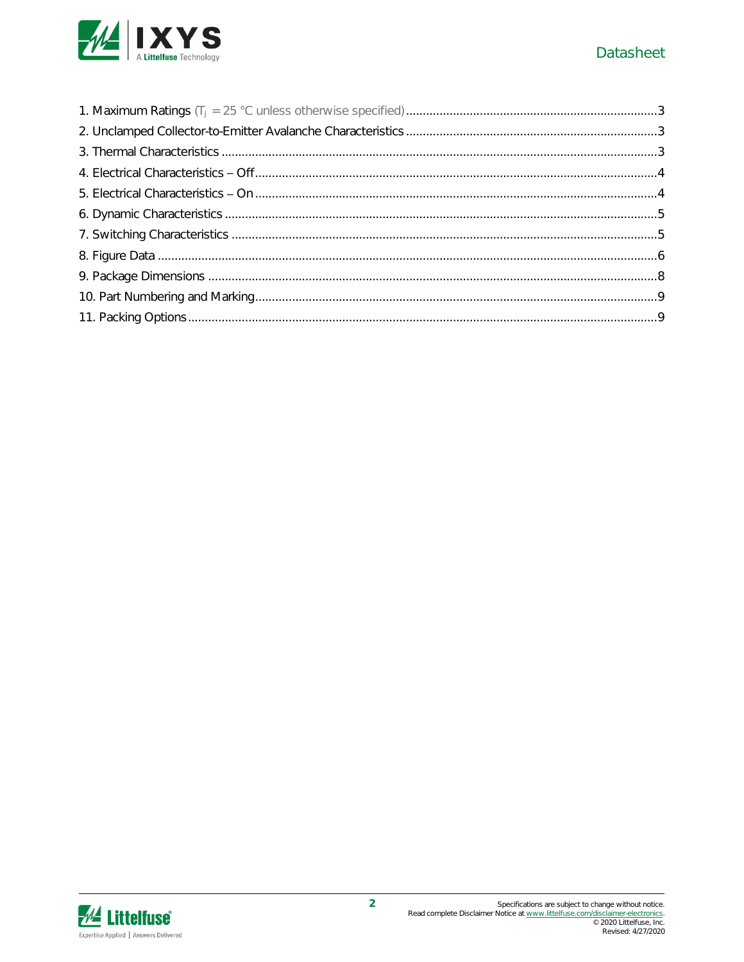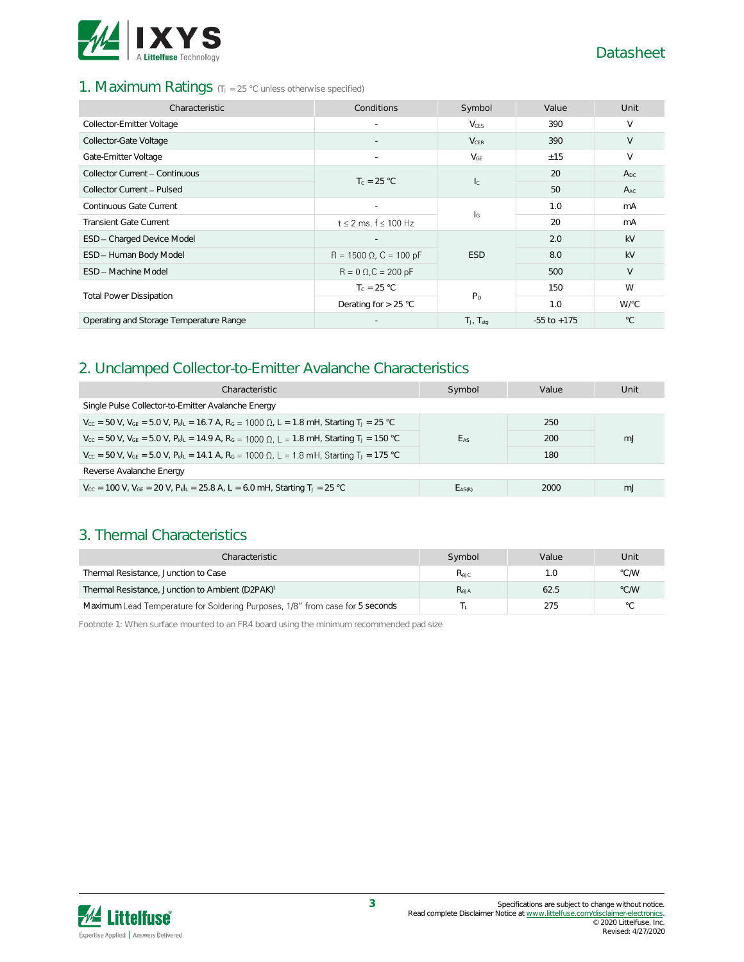

#### 1. Maximum Ratings (TJ = 25 °C unless otherwise specified)

| Characteristic                          | Conditions                     | Symbol                    | Value           | Unit         |
|-----------------------------------------|--------------------------------|---------------------------|-----------------|--------------|
| Collector-Emitter Voltage               |                                | <b>V<sub>CES</sub></b>    | 390             | $\vee$       |
| Collector-Gate Voltage                  |                                | $V_{CER}$                 | 390             | $\vee$       |
| Gate-Emitter Voltage                    | $\sim$                         | $V_{GE}$                  | ±15             | $\vee$       |
| Collector Current - Continuous          | $T_c = 25 °C$                  |                           | 20              | $A_{DC}$     |
| Collector Current - Pulsed              |                                | $l_{\rm C}$               | 50              | $A_{AC}$     |
| Continuous Gate Current                 | $\sim$                         |                           | 1.0             | mA           |
| <b>Transient Gate Current</b>           | $t \leq 2$ ms, $f \leq 100$ Hz | $\mathsf{I}_{\mathsf{G}}$ | 20              | mA           |
| ESD - Charged Device Model              |                                |                           | 2.0             | kV           |
| ESD - Human Body Model                  | $R = 1500 \Omega$ , C = 100 pF | <b>ESD</b>                | 8.0             | kV           |
| ESD - Machine Model                     | $R = 0 \Omega$ , $C = 200 pF$  |                           |                 | $\vee$       |
|                                         | $T_c = 25 °C$                  |                           | 150             | W            |
| <b>Total Power Dissipation</b>          | Derating for $> 25$ °C         | P <sub>D</sub>            |                 | W/°C         |
| Operating and Storage Temperature Range |                                | $T_J$ , $T_{stag}$        | $-55$ to $+175$ | $^{\circ}$ C |

## 2. Unclamped Collector-to-Emitter Avalanche Characteristics

| Characteristic                                                                                                                                             | Symbol      | Value | Unit |  |  |
|------------------------------------------------------------------------------------------------------------------------------------------------------------|-------------|-------|------|--|--|
| Single Pulse Collector-to-Emitter Avalanche Energy                                                                                                         |             |       |      |  |  |
| $V_{cc}$ = 50 V, $V_{GE}$ = 5.0 V, $P_kI_k$ = 16.7 A, $R_G$ = 1000 Ω, L = 1.8 mH, Starting T <sub>J</sub> = 25 °C                                          |             | 250   |      |  |  |
| $V_{\text{cc}} = 50$ V, $V_{\text{GE}} = 5.0$ V, $P_{\text{k}}L = 14.9$ A, $R_{\text{G}} = 1000$ $\Omega$ , $L = 1.8$ mH, Starting T <sub>J</sub> = 150 °C | EAS         | 200   | mJ   |  |  |
| $V_{\text{cc}} = 50$ V, $V_{\text{GE}} = 5.0$ V, $P_{\text{k}}L = 14.1$ A, $R_{\text{G}} = 1000$ $\Omega$ , $L = 1.8$ mH, Starting T <sub>J</sub> = 175 °C |             | 180   |      |  |  |
| Reverse Avalanche Energy                                                                                                                                   |             |       |      |  |  |
| $V_{\text{CC}}$ = 100 V, $V_{\text{GE}}$ = 20 V, $P_{\text{k}}I_{\text{L}}$ = 25.8 A, L = 6.0 mH, Starting T <sub>J</sub> = 25 °C                          | $E_{AS(R)}$ | 2000  | mJ   |  |  |

#### 3. Thermal Characteristics

| Characteristic                                                                | Symbol           | Value | Unit           |
|-------------------------------------------------------------------------------|------------------|-------|----------------|
| Thermal Resistance, Junction to Case                                          | $R_{\text{AIC}}$ | 1.0   | °C/W           |
| Thermal Resistance, Junction to Ambient (D2PAK) <sup>1</sup>                  | $R_{\text{AJA}}$ | 62.5  | °C/W           |
| Maximum Lead Temperature for Soldering Purposes, 1/8" from case for 5 seconds |                  | 275   | $\circ$ $\cap$ |

Footnote 1: When surface mounted to an FR4 board using the minimum recommended pad size

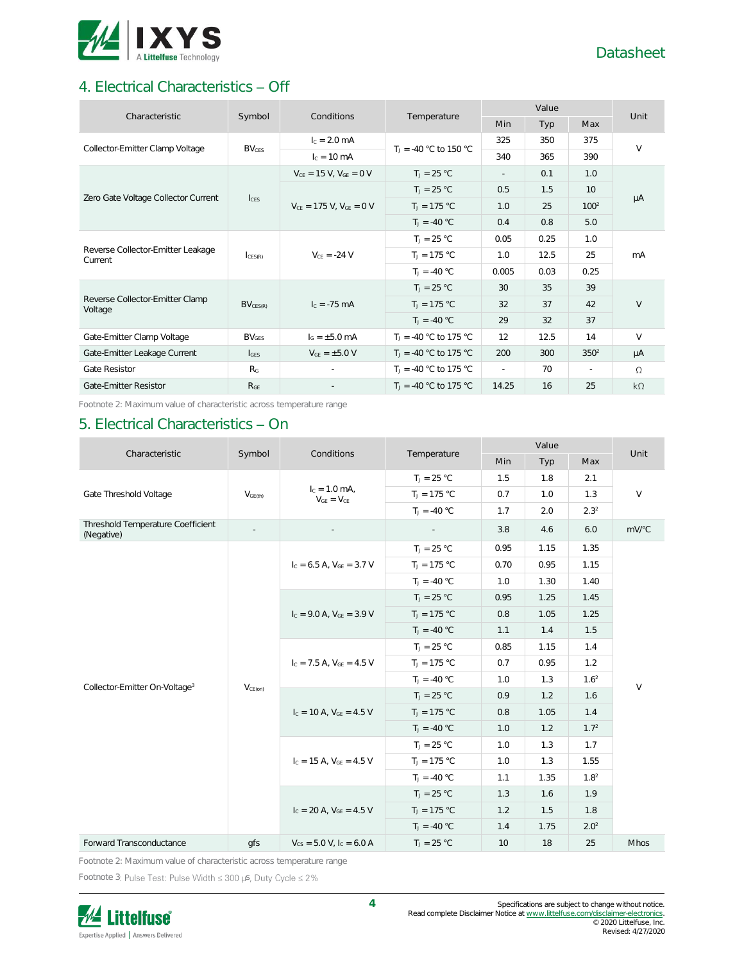

# 4. Electrical Characteristics - Off

| Characteristic                               | Symbol                  | Conditions<br>Temperature        |                                   |        | Unit |                  |           |
|----------------------------------------------|-------------------------|----------------------------------|-----------------------------------|--------|------|------------------|-----------|
|                                              |                         |                                  |                                   | Min    | Typ  | Max              |           |
| Collector-Emitter Clamp Voltage              | <b>BV<sub>CES</sub></b> | $I_c = 2.0$ mA                   | $T_1 = -40$ °C to 150 °C          | 325    | 350  | 375              | $\vee$    |
|                                              |                         | $I_c = 10 \text{ mA}$            |                                   | 340    | 365  | 390              |           |
|                                              |                         | $V_{CE} = 15 V$ , $V_{GE} = 0 V$ | $T_1 = 25 °C$                     | $\sim$ | 0.1  | 1.0              |           |
| Zero Gate Voltage Collector Current          | $l_{\text{CES}}$        |                                  | $T_1 = 25 °C$                     | 0.5    | 1.5  | 10 <sup>1</sup>  | μA        |
|                                              |                         | $V_{CF} = 175$ V, $V_{GF} = 0$ V | $T_1 = 175 °C$                    | 1.0    | 25   | 100 <sup>2</sup> |           |
|                                              |                         |                                  | $T_1 = -40 °C$                    | 0.4    | 0.8  | 5.0              |           |
|                                              | ICES(R)                 | $V_{CF} = -24 V$                 | $T_J = 25 °C$                     | 0.05   | 0.25 | 1.0              | mA        |
| Reverse Collector-Emitter Leakage<br>Current |                         |                                  | $T_J = 175 °C$                    | 1.0    | 12.5 | 25               |           |
|                                              |                         |                                  | $T_1 = -40 °C$                    | 0.005  | 0.03 | 0.25             |           |
|                                              | $BV_{CES(R)}$           | $I_c = -75 \text{ mA}$           | $T_J = 25 °C$                     | 30     | 35   | 39               |           |
| Reverse Collector-Emitter Clamp<br>Voltage   |                         |                                  | $T_J = 175 °C$                    | 32     | 37   | 42               | V         |
|                                              |                         |                                  | $T_1 = -40 °C$                    | 29     | 32   | 37               |           |
| Gate-Emitter Clamp Voltage                   | BV <sub>GFS</sub>       | $I_G = \pm 5.0$ mA               | $T_{\text{J}}$ = -40 °C to 175 °C | 12     | 12.5 | 14               | $\vee$    |
| Gate-Emitter Leakage Current                 | $I_{GES}$               | $V_{GF} = \pm 5.0 V$             | $T_{\rm J} = -40$ °C to 175 °C    | 200    | 300  | 350 <sup>2</sup> | μA        |
| Gate Resistor                                | R <sub>G</sub>          |                                  | $T_{\text{J}} = -40$ °C to 175 °C | $\sim$ | 70   | $\sim$           | $\Omega$  |
| Gate-Emitter Resistor                        | R <sub>GE</sub>         |                                  | $T_1 = -40$ °C to 175 °C          | 14.25  | 16   | 25               | $k\Omega$ |

Footnote 2: Maximum value of characteristic across temperature range

### 5. Electrical Characteristics - On

| Characteristic                                  | Symbol              | Conditions                           | Temperature    | Value           |      |                  | Unit        |
|-------------------------------------------------|---------------------|--------------------------------------|----------------|-----------------|------|------------------|-------------|
|                                                 |                     |                                      |                | Min             | Typ  | Max              |             |
|                                                 |                     |                                      | $T_J = 25 °C$  | 1.5             | 1.8  | 2.1              |             |
| Gate Threshold Voltage                          | V <sub>GE(th)</sub> | $I_c = 1.0$ mA,<br>$V_{GE} = V_{CE}$ | $T_1 = 175 °C$ | 0.7             | 1.0  | 1.3              | $\vee$      |
|                                                 |                     |                                      | $T_1 = -40 °C$ | 1.7             | 2.0  | 2.3 <sup>2</sup> |             |
| Threshold Temperature Coefficient<br>(Negative) |                     |                                      |                | 3.8             | 4.6  | 6.0              | mV/°C       |
|                                                 |                     |                                      | $T_J = 25 °C$  | 0.95            | 1.15 | 1.35             |             |
|                                                 |                     | $I_c = 6.5$ A, $V_{GE} = 3.7$ V      | $T_J = 175 °C$ | 0.70            | 0.95 | 1.15             |             |
|                                                 |                     |                                      | $T_1 = -40 °C$ | 1.0             | 1.30 | 1.40             |             |
|                                                 |                     |                                      | $T_J = 25 °C$  | 0.95            | 1.25 | 1.45             |             |
|                                                 |                     | $I_c = 9.0 A$ , $V_{GE} = 3.9 V$     | $T_J = 175 °C$ | 0.8             | 1.05 | 1.25             | $\vee$      |
|                                                 |                     |                                      | $T_1 = -40 °C$ | 1.1             | 1.4  | 1.5              |             |
|                                                 |                     | $I_c = 7.5$ A, $V_{GE} = 4.5$ V      | $T_J = 25 °C$  | 0.85            | 1.15 | 1.4              |             |
|                                                 |                     |                                      | $T_J = 175 °C$ | 0.7             | 0.95 | 1.2              |             |
| Collector-Emitter On-Voltage <sup>3</sup>       | $V_{CE(on)}$        |                                      | $T_1 = -40 °C$ | 1.0             | 1.3  | 1.6 <sup>2</sup> |             |
|                                                 |                     | $I_c = 10$ A, $V_{GE} = 4.5$ V       | $T_1 = 25 °C$  | 0.9             | 1.2  | 1.6              |             |
|                                                 |                     |                                      | $T_J = 175 °C$ | 0.8             | 1.05 | 1.4              |             |
|                                                 |                     |                                      | $T_1 = -40 °C$ | 1.0             | 1.2  | 1.7 <sup>2</sup> |             |
|                                                 |                     |                                      | $T_J = 25 °C$  | 1.0             | 1.3  | 1.7              |             |
|                                                 |                     | $I_c = 15$ A, $V_{GE} = 4.5$ V       | $T_J = 175 °C$ | 1.0             | 1.3  | 1.55             |             |
|                                                 |                     |                                      | $T_1 = -40 °C$ | 1.1             | 1.35 | 1.8 <sup>2</sup> |             |
|                                                 |                     |                                      | $T_J = 25 °C$  | 1.3             | 1.6  | 1.9              |             |
|                                                 |                     | $I_c = 20$ A, $V_{GF} = 4.5$ V       | $T_J = 175 °C$ | 1.2             | 1.5  | 1.8              |             |
|                                                 |                     |                                      | $T_1 = -40 °C$ | 1.4             | 1.75 | 2.0 <sup>2</sup> |             |
| Forward Transconductance                        | qfs                 | $V_{CS} = 5.0 V, I_C = 6.0 A$        | $T_1 = 25 °C$  | 10 <sup>1</sup> | 18   | 25               | <b>Mhos</b> |

Footnote 2: Maximum value of characteristic across temperature range

Footnote 3: Pulse Test: Pulse Width  $\leq 300$  µs, Duty Cycle  $\leq 2\%$ 

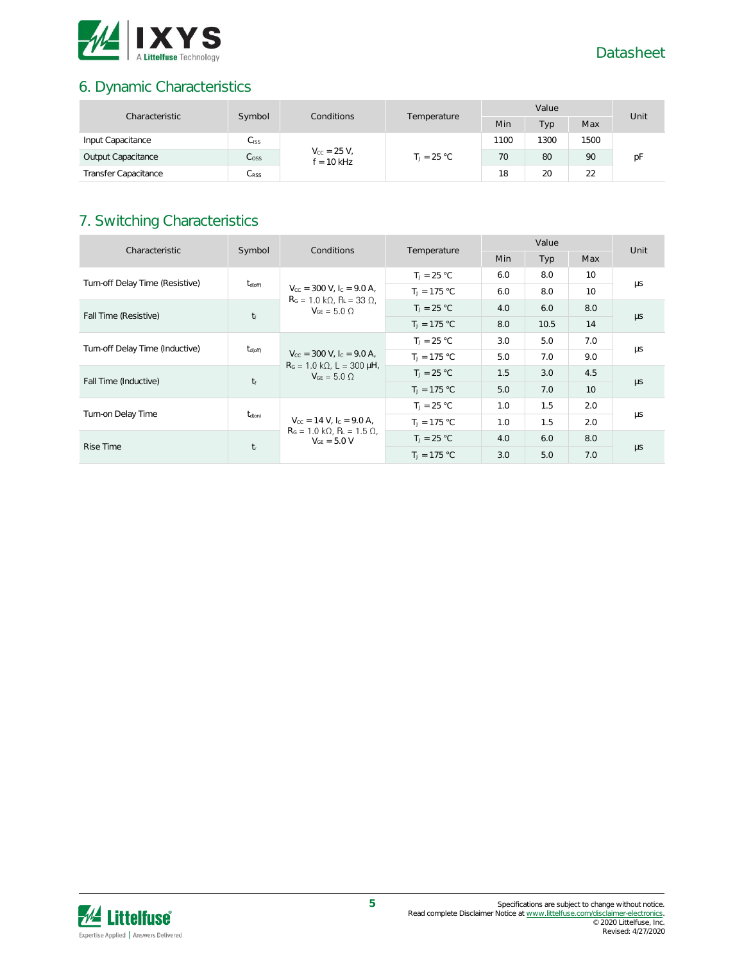

# 6. Dynamic Characteristics

| Characteristic              | Symbol<br>Conditions | Temperature          | Value        |               |      | Unit |    |    |
|-----------------------------|----------------------|----------------------|--------------|---------------|------|------|----|----|
|                             |                      |                      |              | Min           | Typ  | Max  |    |    |
| Input Capacitance           | $C_{ISS}$            |                      |              | 1100          | 1300 | 1500 |    |    |
| Output Capacitance          | $C_{\rm OSS}$        | $V_{\rm CC} = 25 V,$ | $f = 10$ kHz | $T_1 = 25 °C$ | 70   | 80   | 90 | рF |
| <b>Transfer Capacitance</b> | $C_{\rm RSS}$        |                      |              | 18            | 20   | 22   |    |    |

# 7. Switching Characteristics

| Characteristic                  | Symbol              | Conditions                                                                                                                               | Temperature    | Value      |      |                 | Unit          |
|---------------------------------|---------------------|------------------------------------------------------------------------------------------------------------------------------------------|----------------|------------|------|-----------------|---------------|
|                                 |                     |                                                                                                                                          |                | <b>Min</b> | Typ  | Max             |               |
|                                 |                     |                                                                                                                                          | $T_1 = 25 °C$  | 6.0        | 8.0  | 10              |               |
| Turn-off Delay Time (Resistive) | $t_{\text{d(off)}}$ | $V_{\text{cc}} = 300 \text{ V}$ , $I_{\text{c}} = 9.0 \text{ A}$ ,<br>$RG = 1.0 k\Omega$ , $RL = 33 \Omega$ ,                            | $T_J = 175 °C$ | 6.0        | 8.0  | 10 <sup>2</sup> | μs            |
|                                 |                     | $V_{GF} = 5.0 \Omega$                                                                                                                    | $T_1 = 25 °C$  | 4.0        | 6.0  | 8.0             | $\mu s$       |
| Fall Time (Resistive)           | $t_f$               |                                                                                                                                          | $T_1 = 175 °C$ | 8.0        | 10.5 | 14              |               |
| Turn-off Delay Time (Inductive) | $t_{\text{d(off)}}$ | $V_{\text{CC}} = 300 \text{ V}$ , $I_{\text{C}} = 9.0 \text{ A}$ ,<br>$R_G = 1.0 \text{ k}\Omega$ , L = 300 µH,<br>$V_{GF} = 5.0 \Omega$ | $T_1 = 25 °C$  | 3.0        | 5.0  | 7.0             | μs<br>$\mu s$ |
|                                 |                     |                                                                                                                                          | $T_1 = 175 °C$ | 5.0        | 7.0  | 9.0             |               |
| Fall Time (Inductive)           | $t_f$               |                                                                                                                                          | $T_1 = 25 °C$  | 1.5        | 3.0  | 4.5             |               |
|                                 |                     |                                                                                                                                          | $T_1 = 175 °C$ | 5.0        | 7.0  | 10 <sup>°</sup> |               |
| Turn-on Delay Time              |                     | $V_{\text{cc}} = 14 \text{ V}$ , $I_{\text{c}} = 9.0 \text{ A}$ ,                                                                        | $T_1 = 25 °C$  | 1.0        | 1.5  | 2.0             |               |
|                                 | $t_{d(on)}$         |                                                                                                                                          | $T_1 = 175 °C$ | 1.0        | 1.5  | 2.0             | μs            |
| Rise Time                       |                     | $RG = 1.0 k\Omega$ , $RL = 1.5 \Omega$ ,<br>$V_{GF} = 5.0 V$<br>$t_{\rm r}$                                                              | $T_J = 25 °C$  | 4.0        | 6.0  | 8.0             |               |
|                                 |                     |                                                                                                                                          | $T_1 = 175 °C$ | 3.0        | 5.0  | 7.0             | $\mu s$       |

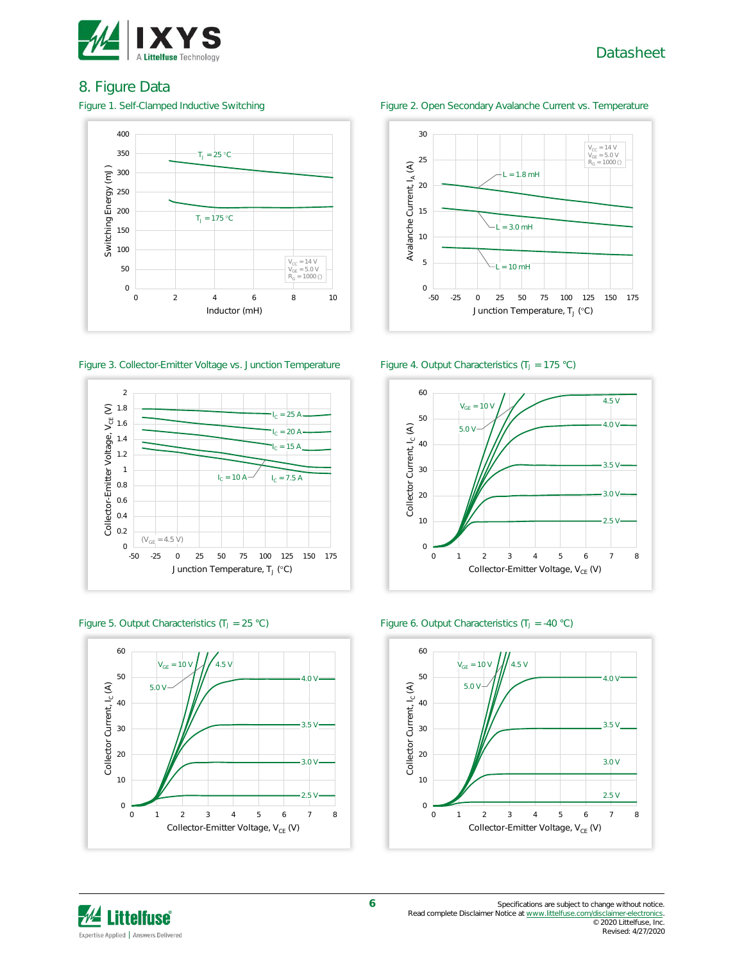

Datasheet

#### 8. Figure Data



#### Figure 3. Collector-Emitter Voltage vs. Junction Temperature Figure 4. Output Characteristics (T<sub>J</sub> = 175 °C)











Figure 5. Output Characteristics (T<sub>J</sub> = 25 °C) Figure 6. Output Characteristics (T<sub>J</sub> = -40 °C)

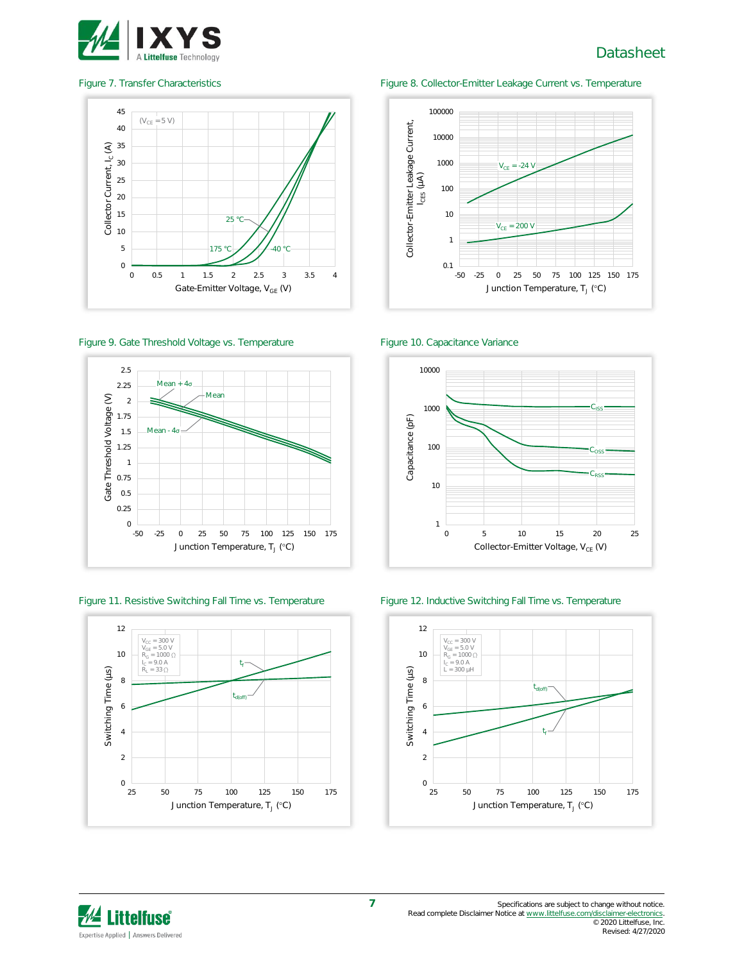

## Datasheet



Figure 9. Gate Threshold Voltage vs. Temperature Figure 10. Capacitance Variance



Figure 11. Resistive Switching Fall Time vs. Temperature Figure 12. Inductive Switching Fall Time vs. Temperature



#### Figure 7. Transfer Characteristics Figure 8. Collector-Emitter Leakage Current vs. Temperature







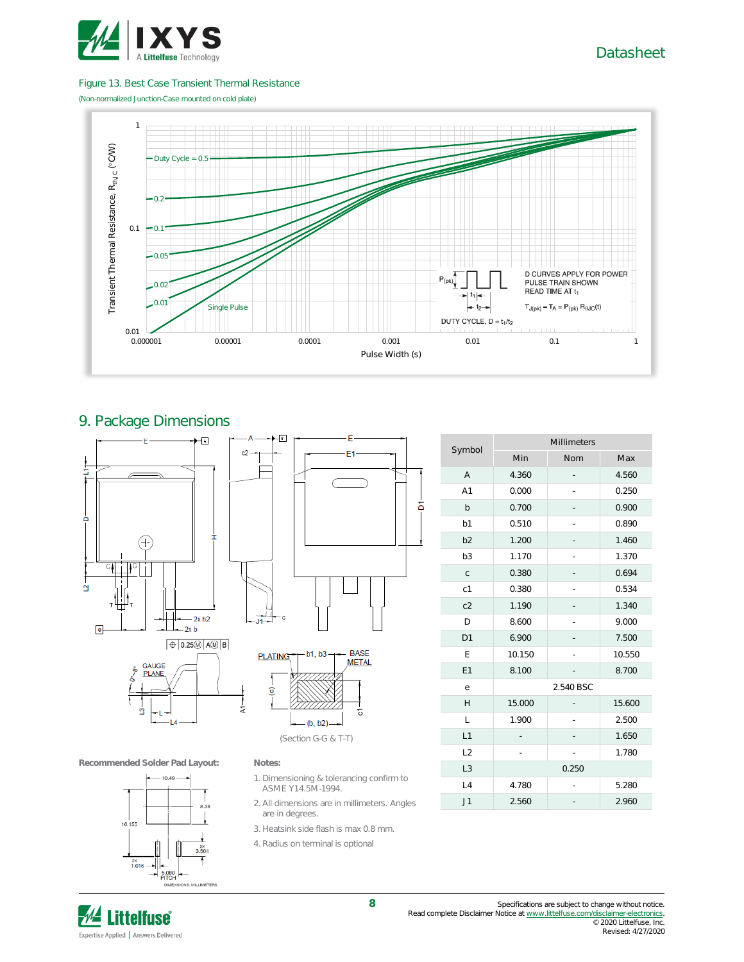

#### Figure 13. Best Case Transient Thermal Resistance

(Non-normalized Junction-Case mounted on cold plate)



#### 9. Package Dimensions





F۱

δ



**Recommended Solder Pad Layout: Notes:**

്ദ



L

 $\overline{B}$ 

- 1. Dimensioning & tolerancing confirm to ASME Y14.5M-1994.
- 2. All dimensions are in millimeters. Angles are in degrees.
- 3. Heatsink side flash is max 0.8 mm.
- 4. Radius on terminal is optional

| Symbol         | Millimeters |            |        |  |  |
|----------------|-------------|------------|--------|--|--|
|                | Min         | <b>Nom</b> | Max    |  |  |
| $\overline{A}$ | 4.360       |            | 4.560  |  |  |
| A <sub>1</sub> | 0.000       |            | 0.250  |  |  |
| $\mathsf b$    | 0.700       |            | 0.900  |  |  |
| b1             | 0.510       |            | 0.890  |  |  |
| b2             | 1.200       |            | 1.460  |  |  |
| b3             | 1.170       | Ĭ.         | 1.370  |  |  |
| $\mathsf{C}$   | 0.380       |            | 0.694  |  |  |
| c1             | 0.380       |            | 0.534  |  |  |
| c2             | 1.190       |            | 1.340  |  |  |
| D              | 8.600       |            | 9.000  |  |  |
| D <sub>1</sub> | 6.900       |            | 7.500  |  |  |
| E              | 10.150      |            | 10.550 |  |  |
| E1             | 8.100       |            | 8.700  |  |  |
| e              |             | 2.540 BSC  |        |  |  |
| H              | 15.000      |            | 15.600 |  |  |
| L              | 1.900       |            | 2.500  |  |  |
| L1             |             |            | 1.650  |  |  |
| L2             |             | ÷          | 1.780  |  |  |
| L3             |             | 0.250      |        |  |  |
| L4             | 4.780       |            | 5.280  |  |  |
| J1             | 2.560       |            | 2.960  |  |  |